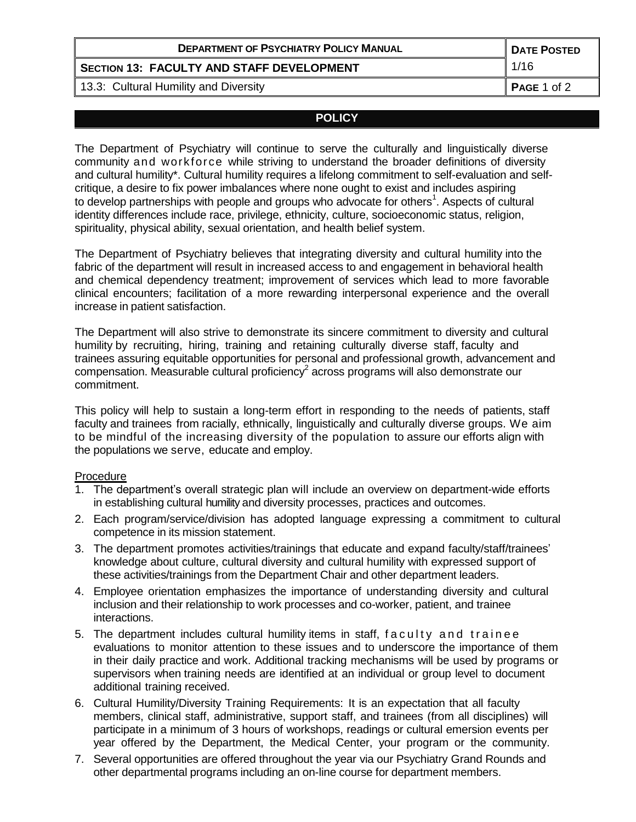| <b>DEPARTMENT OF PSYCHIATRY POLICY MANUAL</b> | <b>DATE POSTED</b>      |
|-----------------------------------------------|-------------------------|
| SECTION 13: FACULTY AND STAFF DEVELOPMENT     | 1/16                    |
| 13.3: Cultural Humility and Diversity         | $\parallel$ PAGE 1 of 2 |

## **POLICY**

The Department of Psychiatry will continue to serve the culturally and linguistically diverse community and workforce while striving to understand the broader definitions of diversity and cultural humility\*. Cultural humility requires a lifelong commitment to self-evaluation and selfcritique, a desire to fix power imbalances where none ought to exist and includes aspiring to develop partnerships with people and groups who advocate for others<sup>1</sup>. Aspects of cultural identity differences include race, privilege, ethnicity, culture, socioeconomic status, religion, spirituality, physical ability, sexual orientation, and health belief system.

The Department of Psychiatry believes that integrating diversity and cultural humility into the fabric of the department will result in increased access to and engagement in behavioral health and chemical dependency treatment; improvement of services which lead to more favorable clinical encounters; facilitation of a more rewarding interpersonal experience and the overall increase in patient satisfaction.

The Department will also strive to demonstrate its sincere commitment to diversity and cultural humility by recruiting, hiring, training and retaining culturally diverse staff, faculty and trainees assuring equitable opportunities for personal and professional growth, advancement and compensation. Measurable cultural proficiency<sup>2</sup> across programs will also demonstrate our commitment.

This policy will help to sustain a long-term effort in responding to the needs of patients, staff faculty and trainees from racially, ethnically, linguistically and culturally diverse groups. We aim to be mindful of the increasing diversity of the population to assure our efforts align with the populations we serve, educate and employ.

## Procedure

- 1. The department's overall strategic plan will include an overview on department-wide efforts in establishing cultural humility and diversity processes, practices and outcomes.
- 2. Each program/service/division has adopted language expressing a commitment to cultural competence in its mission statement.
- 3. The department promotes activities/trainings that educate and expand faculty/staff/trainees' knowledge about culture, cultural diversity and cultural humility with expressed support of these activities/trainings from the Department Chair and other department leaders.
- 4. Employee orientation emphasizes the importance of understanding diversity and cultural inclusion and their relationship to work processes and co-worker, patient, and trainee interactions.
- 5. The department includes cultural humility items in staff, faculty and trainee evaluations to monitor attention to these issues and to underscore the importance of them in their daily practice and work. Additional tracking mechanisms will be used by programs or supervisors when training needs are identified at an individual or group level to document additional training received.
- 6. Cultural Humility/Diversity Training Requirements: It is an expectation that all faculty members, clinical staff, administrative, support staff, and trainees (from all disciplines) will participate in a minimum of 3 hours of workshops, readings or cultural emersion events per year offered by the Department, the Medical Center, your program or the community.
- 7. Several opportunities are offered throughout the year via our Psychiatry Grand Rounds and other departmental programs including an on-line course for department members.